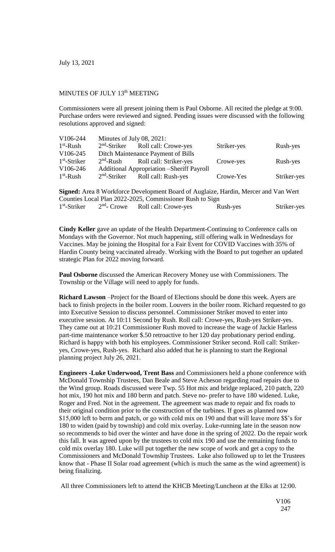July 13, 2021

## MINUTES OF JULY 13<sup>th</sup> MEETING

Commissioners were all present joining them is Paul Osborne. All recited the pledge at 9:00. Purchase orders were reviewed and signed. Pending issues were discussed with the following resolutions approved and signed:

| V106-244       | Minutes of July 08, 2021:                  |                                     |             |             |
|----------------|--------------------------------------------|-------------------------------------|-------------|-------------|
| $1st$ -Rush    |                                            | $2nd$ -Striker Roll call: Crowe-yes | Striker-yes | Rush-yes    |
| V106-245       | Ditch Maintenance Payment of Bills         |                                     |             |             |
| $1st$ -Striker |                                            | $2nd$ -Rush Roll call: Striker-yes  | Crowe-yes   | Rush-yes    |
| V106-246       | Additional Appropriation – Sheriff Payroll |                                     |             |             |
| $1st$ -Rush    |                                            | $2nd$ -Striker Roll call: Rush-yes  | Crowe-Yes   | Striker-yes |

**Signed:** Area 8 Workforce Development Board of Auglaize, Hardin, Mercer and Van Wert Counties Local Plan 2022-2025, Commissioner Rush to Sign 1 st -Striker 2  $2<sup>nd</sup>$ - Crowe Roll call: Crowe-yes Rush-yes Striker-yes

**Cindy Keller** gave an update of the Health Department-Continuing to Conference calls on Mondays with the Governor. Not much happening, still offering walk in Wednesdays for Vaccines. May be joining the Hospital for a Fair Event for COVID Vaccines with 35% of Hardin County being vaccinated already. Working with the Board to put together an updated strategic Plan for 2022 moving forward.

**Paul Osborne** discussed the American Recovery Money use with Commissioners. The Township or the Village will need to apply for funds.

**Richard Lawson** –Project for the Board of Elections should be done this week. Ayers are back to finish projects in the boiler room. Louvers in the boiler room. Richard requested to go into Executive Session to discuss personnel. Commissioner Striker moved to enter into executive session. At 10:11 Second by Rush. Roll call: Crowe-yes, Rush-yes Striker-yes. They came out at 10:21 Commissioner Rush moved to increase the wage of Jackie Harless part-time maintenance worker \$.50 retroactive to her 120 day probationary period ending. Richard is happy with both his employees. Commissioner Striker second. Roll call: Strikeryes, Crowe-yes, Rush-yes. Richard also added that he is planning to start the Regional planning project July 26, 2021.

**Engineers -Luke Underwood, Trent Bass** and Commissioners held a phone conference with McDonald Township Trustees, Dan Beale and Steve Acheson regarding road repairs due to the Wind group. Roads discussed were Twp. 55 Hot mix and bridge replaced, 210 patch, 220 hot mix, 190 hot mix and 180 berm and patch. Steve no- prefer to have 180 widened. Luke, Roger and Fred. Not in the agreement. The agreement was made to repair and fix roads to their original condition prior to the construction of the turbines. If goes as planned now \$15,000 left to berm and patch, or go with cold mix on 190 and that will leave more \$\$'s for 180 to widen (paid by township) and cold mix overlay. Luke-running late in the season now so recommends to bid over the winter and have done in the spring of 2022. Do the repair work this fall. It was agreed upon by the trustees to cold mix 190 and use the remaining funds to cold mix overlay 180. Luke will put together the new scope of work and get a copy to the Commissioners and McDonald Township Trustees. Luke also followed up to let the Trustees know that - Phase II Solar road agreement (which is much the same as the wind agreement) is being finalizing.

All three Commissioners left to attend the KHCB Meeting/Luncheon at the Elks at 12:00.